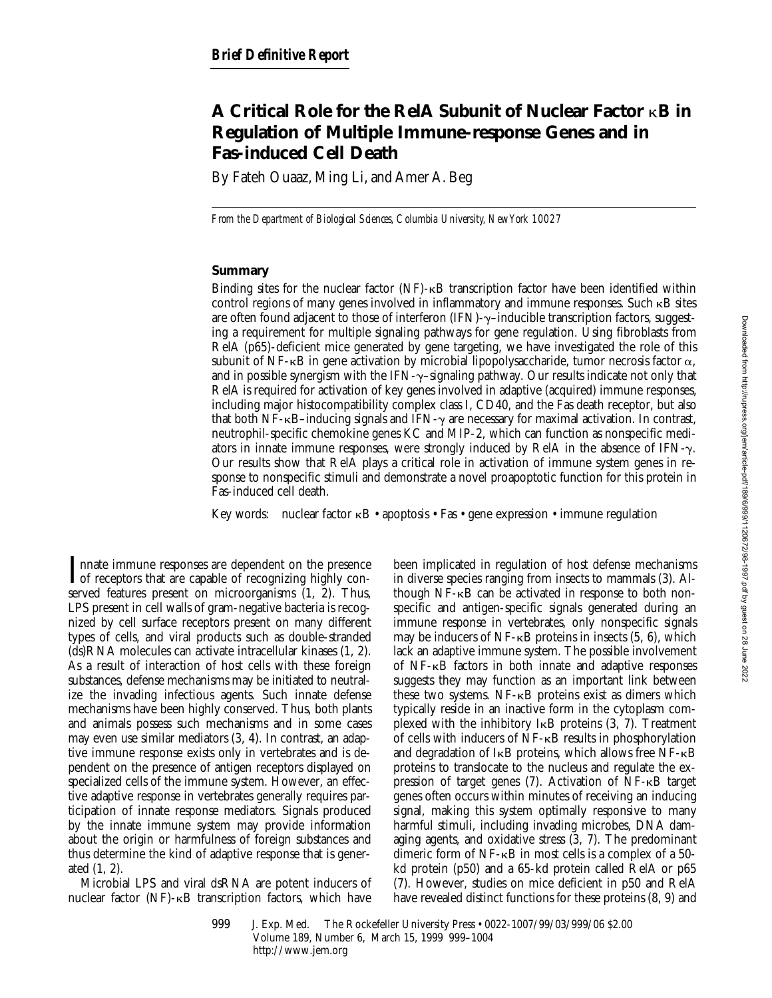# **A Critical Role for the RelA Subunit of Nuclear Factor** k**B in Regulation of Multiple Immune-response Genes and in Fas-induced Cell Death**

By Fateh Ouaaz, Ming Li, and Amer A. Beg

*From the Department of Biological Sciences, Columbia University, New York 10027*

## **Summary**

Binding sites for the nuclear factor  $(NF)$ - $\kappa B$  transcription factor have been identified within control regions of many genes involved in inflammatory and immune responses. Such kB sites are often found adjacent to those of interferon (IFN)- $\gamma$ -inducible transcription factors, suggesting a requirement for multiple signaling pathways for gene regulation. Using fibroblasts from RelA (p65)-deficient mice generated by gene targeting, we have investigated the role of this subunit of NF- $\kappa$ B in gene activation by microbial lipopolysaccharide, tumor necrosis factor  $\alpha$ , and in possible synergism with the IFN- $\gamma$ -signaling pathway. Our results indicate not only that RelA is required for activation of key genes involved in adaptive (acquired) immune responses, including major histocompatibility complex class I, CD40, and the Fas death receptor, but also that both NF- $\kappa$ B–inducing signals and IFN- $\gamma$  are necessary for maximal activation. In contrast, neutrophil-specific chemokine genes KC and MIP-2, which can function as nonspecific mediators in innate immune responses, were strongly induced by RelA in the absence of IFN- $\gamma$ . Our results show that RelA plays a critical role in activation of immune system genes in response to nonspecific stimuli and demonstrate a novel proapoptotic function for this protein in Fas-induced cell death.

Key words: nuclear factor  $\kappa$ B • apoptosis • Fas • gene expression • immune regulation

 $\sum_{\text{of receptors that are capable of recognizing highly con-  
served features present on minexpositions (1, 3). Thus,$ nnate immune responses are dependent on the presence served features present on microorganisms (1, 2). Thus, LPS present in cell walls of gram-negative bacteria is recognized by cell surface receptors present on many different types of cells, and viral products such as double-stranded (ds)RNA molecules can activate intracellular kinases (1, 2). As a result of interaction of host cells with these foreign substances, defense mechanisms may be initiated to neutralize the invading infectious agents. Such innate defense mechanisms have been highly conserved. Thus, both plants and animals possess such mechanisms and in some cases may even use similar mediators (3, 4). In contrast, an adaptive immune response exists only in vertebrates and is dependent on the presence of antigen receptors displayed on specialized cells of the immune system. However, an effective adaptive response in vertebrates generally requires participation of innate response mediators. Signals produced by the innate immune system may provide information about the origin or harmfulness of foreign substances and thus determine the kind of adaptive response that is generated (1, 2).

Microbial LPS and viral dsRNA are potent inducers of nuclear factor  $(NF)$ - $\kappa$ B transcription factors, which have

been implicated in regulation of host defense mechanisms in diverse species ranging from insects to mammals (3). Although  $NF-\kappa B$  can be activated in response to both nonspecific and antigen-specific signals generated during an immune response in vertebrates, only nonspecific signals may be inducers of  $NF-\kappa B$  proteins in insects (5, 6), which lack an adaptive immune system. The possible involvement of NF-kB factors in both innate and adaptive responses suggests they may function as an important link between these two systems.  $NF-\kappa B$  proteins exist as dimers which typically reside in an inactive form in the cytoplasm complexed with the inhibitory IkB proteins (3, 7). Treatment of cells with inducers of NF-kB results in phosphorylation and degradation of  $I \kappa B$  proteins, which allows free NF- $\kappa B$ proteins to translocate to the nucleus and regulate the expression of target genes (7). Activation of NF-kB target genes often occurs within minutes of receiving an inducing signal, making this system optimally responsive to many harmful stimuli, including invading microbes, DNA damaging agents, and oxidative stress (3, 7). The predominant dimeric form of NF-kB in most cells is a complex of a 50 kd protein (p50) and a 65-kd protein called RelA or p65 (7). However, studies on mice deficient in p50 and RelA have revealed distinct functions for these proteins (8, 9) and

<sup>999</sup> J. Exp. Med. © The Rockefeller University Press • 0022-1007/99/03/999/06 \$2.00 Volume 189, Number 6, March 15, 1999 999–1004 http://www.jem.org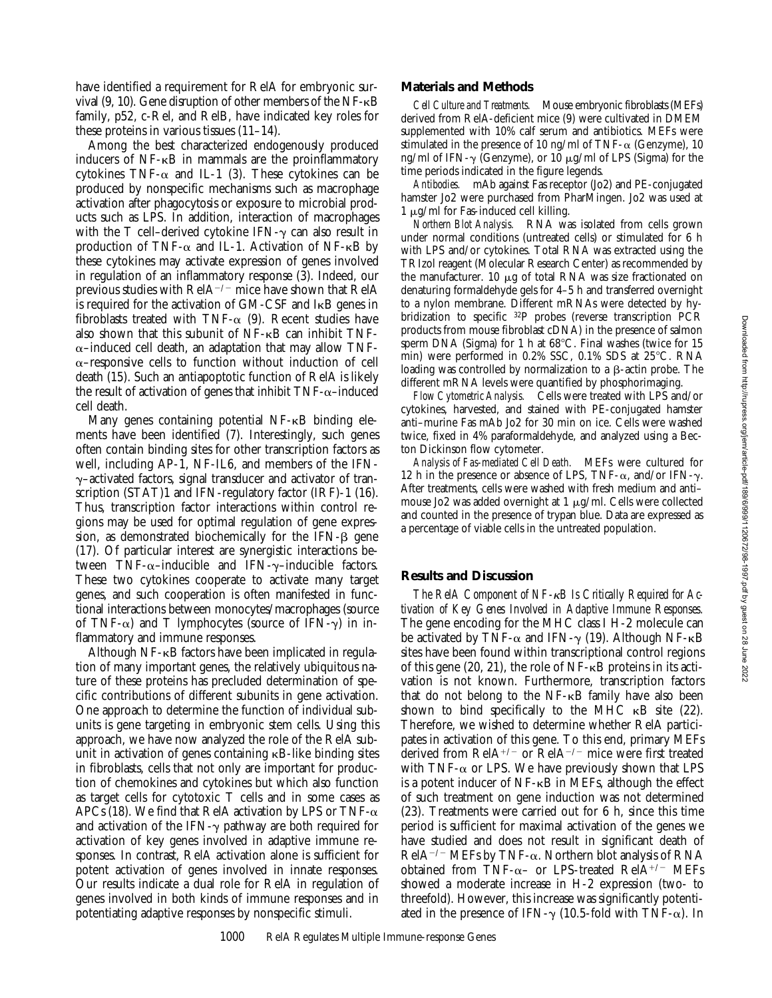have identified a requirement for RelA for embryonic survival (9, 10). Gene disruption of other members of the NF-kB family, p52, c-Rel, and RelB, have indicated key roles for these proteins in various tissues (11–14).

Among the best characterized endogenously produced inducers of  $NF - \kappa B$  in mammals are the proinflammatory cytokines  $TNF-\alpha$  and IL-1 (3). These cytokines can be produced by nonspecific mechanisms such as macrophage activation after phagocytosis or exposure to microbial products such as LPS. In addition, interaction of macrophages with the T cell–derived cytokine IFN- $\gamma$  can also result in production of TNF- $\alpha$  and IL-1. Activation of NF- $\kappa$ B by these cytokines may activate expression of genes involved in regulation of an inflammatory response (3). Indeed, our previous studies with  $\text{RelA}^{-/-}$  mice have shown that  $\text{RelA}$ is required for the activation of GM-CSF and IkB genes in fibroblasts treated with TNF- $\alpha$  (9). Recent studies have also shown that this subunit of NF-kB can inhibit TNF- $\alpha$ –induced cell death, an adaptation that may allow TNF- $\alpha$ –responsive cells to function without induction of cell death (15). Such an antiapoptotic function of RelA is likely the result of activation of genes that inhibit  $TNF-\alpha$ –induced cell death.

Many genes containing potential NF- $\kappa$ B binding elements have been identified (7). Interestingly, such genes often contain binding sites for other transcription factors as well, including AP-1, NF-IL6, and members of the IFN- $\gamma$ –activated factors, signal transducer and activator of transcription (STAT)1 and IFN-regulatory factor (IRF)-1 (16). Thus, transcription factor interactions within control regions may be used for optimal regulation of gene expression, as demonstrated biochemically for the IFN- $\beta$  gene (17). Of particular interest are synergistic interactions between TNF- $\alpha$ –inducible and IFN- $\gamma$ –inducible factors. These two cytokines cooperate to activate many target genes, and such cooperation is often manifested in functional interactions between monocytes/macrophages (source of TNF- $\alpha$ ) and T lymphocytes (source of IFN- $\gamma$ ) in inflammatory and immune responses.

Although NF- $\kappa$ B factors have been implicated in regulation of many important genes, the relatively ubiquitous nature of these proteins has precluded determination of specific contributions of different subunits in gene activation. One approach to determine the function of individual subunits is gene targeting in embryonic stem cells. Using this approach, we have now analyzed the role of the RelA subunit in activation of genes containing  $\kappa$ B-like binding sites in fibroblasts, cells that not only are important for production of chemokines and cytokines but which also function as target cells for cytotoxic T cells and in some cases as APCs (18). We find that RelA activation by LPS or TNF- $\alpha$ and activation of the IFN- $\gamma$  pathway are both required for activation of key genes involved in adaptive immune responses. In contrast, RelA activation alone is sufficient for potent activation of genes involved in innate responses. Our results indicate a dual role for RelA in regulation of genes involved in both kinds of immune responses and in potentiating adaptive responses by nonspecific stimuli.

#### **Materials and Methods**

*Cell Culture and Treatments.* Mouse embryonic fibroblasts (MEFs) derived from RelA-deficient mice (9) were cultivated in DMEM supplemented with 10% calf serum and antibiotics. MEFs were stimulated in the presence of 10 ng/ml of TNF- $\alpha$  (Genzyme), 10 ng/ml of IFN- $\gamma$  (Genzyme), or 10  $\mu$ g/ml of LPS (Sigma) for the time periods indicated in the figure legends.

*Antibodies.* mAb against Fas receptor (Jo2) and PE-conjugated hamster Jo2 were purchased from PharMingen. Jo2 was used at  $1 \mu$ g/ml for Fas-induced cell killing.

*Northern Blot Analysis.* RNA was isolated from cells grown under normal conditions (untreated cells) or stimulated for 6 h with LPS and/or cytokines. Total RNA was extracted using the TRIzol reagent (Molecular Research Center) as recommended by the manufacturer. 10  $\mu$ g of total RNA was size fractionated on denaturing formaldehyde gels for 4–5 h and transferred overnight to a nylon membrane. Different mRNAs were detected by hybridization to specific 32P probes (reverse transcription PCR products from mouse fibroblast cDNA) in the presence of salmon sperm DNA (Sigma) for 1 h at 68°C. Final washes (twice for 15 min) were performed in  $0.2\%$  SSC,  $0.1\%$  SDS at  $25^{\circ}$ C. RNA loading was controlled by normalization to a  $\beta$ -actin probe. The different mRNA levels were quantified by phosphorimaging.

*Flow Cytometric Analysis.* Cells were treated with LPS and/or cytokines, harvested, and stained with PE-conjugated hamster anti–murine Fas mAb Jo2 for 30 min on ice. Cells were washed twice, fixed in 4% paraformaldehyde, and analyzed using a Becton Dickinson flow cytometer.

*Analysis of Fas-mediated Cell Death.* MEFs were cultured for 12 h in the presence or absence of LPS, TNF- $\alpha$ , and/or IFN- $\gamma$ . After treatments, cells were washed with fresh medium and anti– mouse Jo2 was added overnight at  $1 \mu$ g/ml. Cells were collected and counted in the presence of trypan blue. Data are expressed as a percentage of viable cells in the untreated population.

### **Results and Discussion**

*The RelA Component of NF-*k*B Is Critically Required for Activation of Key Genes Involved in Adaptive Immune Responses.* The gene encoding for the MHC class I H-2 molecule can be activated by TNF- $\alpha$  and IFN- $\gamma$  (19). Although NF- $\kappa$ B sites have been found within transcriptional control regions of this gene  $(20, 21)$ , the role of NF- $\kappa$ B proteins in its activation is not known. Furthermore, transcription factors that do not belong to the NF-kB family have also been shown to bind specifically to the MHC  $\kappa$ B site (22). Therefore, we wished to determine whether RelA participates in activation of this gene. To this end, primary MEFs derived from  $\text{RelA}^{+/-}$  or  $\text{RelA}^{-/-}$  mice were first treated with TNF- $\alpha$  or LPS. We have previously shown that LPS is a potent inducer of  $NF-\kappa B$  in MEFs, although the effect of such treatment on gene induction was not determined (23). Treatments were carried out for 6 h, since this time period is sufficient for maximal activation of the genes we have studied and does not result in significant death of  $\text{RelA}^{-/-}$  MEFs by TNF- $\alpha$ . Northern blot analysis of RNA obtained from TNF- $\alpha$ – or LPS-treated RelA<sup>+/-</sup> MEFs showed a moderate increase in H-2 expression (two- to threefold). However, this increase was significantly potentiated in the presence of IFN- $\gamma$  (10.5-fold with TNF- $\alpha$ ). In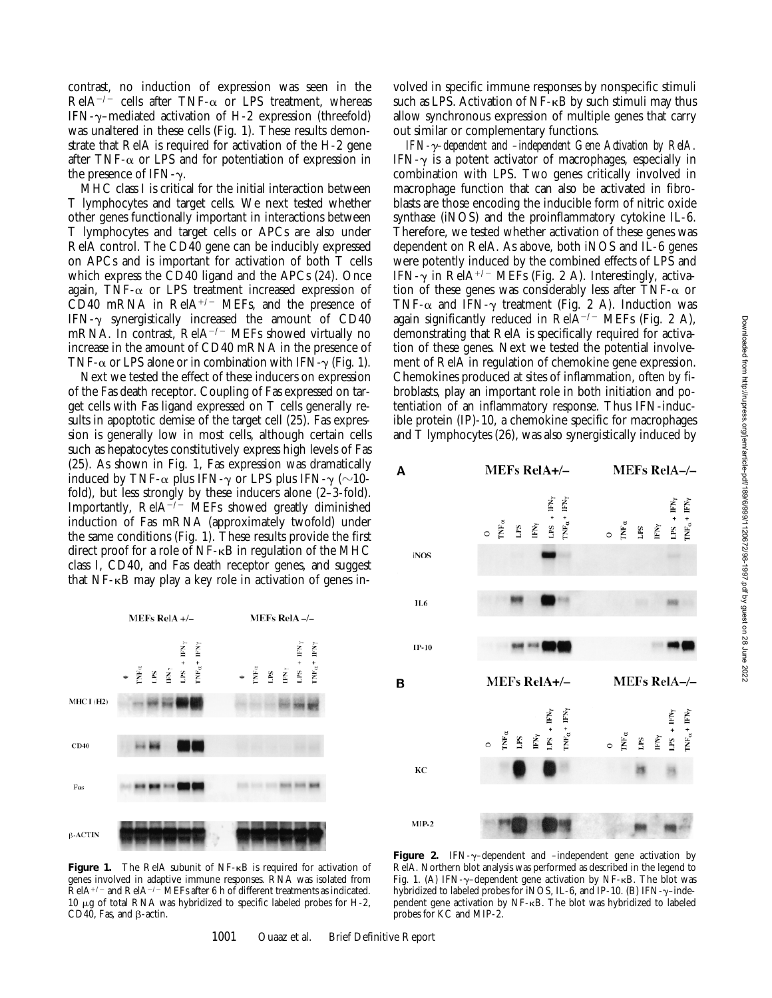contrast, no induction of expression was seen in the RelA<sup>-/-</sup> cells after TNF- $\alpha$  or LPS treatment, whereas IFN- $\gamma$ –mediated activation of H-2 expression (threefold) was unaltered in these cells (Fig. 1). These results demonstrate that RelA is required for activation of the H-2 gene after TNF- $\alpha$  or LPS and for potentiation of expression in the presence of IFN- $\gamma$ .

MHC class I is critical for the initial interaction between T lymphocytes and target cells. We next tested whether other genes functionally important in interactions between T lymphocytes and target cells or APCs are also under RelA control. The CD40 gene can be inducibly expressed on APCs and is important for activation of both T cells which express the CD40 ligand and the APCs (24). Once again, TNF- $\alpha$  or LPS treatment increased expression of  $\overrightarrow{CD40}$  mRNA in RelA<sup>+/-</sup> MEFs, and the presence of IFN- $\gamma$  synergistically increased the amount of CD40 mRNA. In contrast,  $\text{RelA}^{-/-}$  MEFs showed virtually no increase in the amount of CD40 mRNA in the presence of TNF- $\alpha$  or LPS alone or in combination with IFN- $\gamma$  (Fig. 1).

Next we tested the effect of these inducers on expression of the Fas death receptor. Coupling of Fas expressed on target cells with Fas ligand expressed on T cells generally results in apoptotic demise of the target cell (25). Fas expression is generally low in most cells, although certain cells such as hepatocytes constitutively express high levels of Fas (25). As shown in Fig. 1, Fas expression was dramatically induced by TNF- $\alpha$  plus IFN- $\gamma$  or LPS plus IFN- $\gamma$  ( $\sim$ 10fold), but less strongly by these inducers alone (2–3-fold). Importantly,  $\text{RelA}^{-/-}$  MEFs showed greatly diminished induction of Fas mRNA (approximately twofold) under the same conditions (Fig. 1). These results provide the first direct proof for a role of NF-kB in regulation of the MHC class I, CD40, and Fas death receptor genes, and suggest that  $NF-\kappa B$  may play a key role in activation of genes in-

MEFs RelA+/-**MEFs RelA-/-**É Ě É Ě  $N_{tot}^+$ FN<sub>y</sub> Ñ.  $\tilde{\mathbf{S}}$ Ē, PS.  $\mathbf{r}$  $P<sub>S</sub>$ MHC I (H2) CD40 Fas β-ACTIN

Figure 1. The RelA subunit of NF-<sub>KB</sub> is required for activation of genes involved in adaptive immune responses. RNA was isolated from  $\text{ReIA}^{+/-}$  and  $\text{ReIA}^{-/-}$  MEFs after 6 h of different treatments as indicated.  $10 \mu$ g of total RNA was hybridized to specific labeled probes for H-2, CD40, Fas, and  $\beta$ -actin.

volved in specific immune responses by nonspecific stimuli such as LPS. Activation of  $NF-\kappa B$  by such stimuli may thus allow synchronous expression of multiple genes that carry out similar or complementary functions.

*IFN-*g*–dependent and –independent Gene Activation by RelA.* IFN- $\gamma$  is a potent activator of macrophages, especially in combination with LPS. Two genes critically involved in macrophage function that can also be activated in fibroblasts are those encoding the inducible form of nitric oxide synthase (iNOS) and the proinflammatory cytokine IL-6. Therefore, we tested whether activation of these genes was dependent on RelA. As above, both iNOS and IL-6 genes were potently induced by the combined effects of LPS and IFN- $\gamma$  in RelA<sup>+/-</sup> MEFs (Fig. 2 A). Interestingly, activation of these genes was considerably less after TNF- $\alpha$  or TNF- $\alpha$  and IFN- $\gamma$  treatment (Fig. 2 A). Induction was again significantly reduced in Rel $\overline{A}^{-/-}$  MEFs (Fig. 2 A), demonstrating that RelA is specifically required for activation of these genes. Next we tested the potential involvement of RelA in regulation of chemokine gene expression. Chemokines produced at sites of inflammation, often by fibroblasts, play an important role in both initiation and potentiation of an inflammatory response. Thus IFN-inducible protein (IP)-10, a chemokine specific for macrophages and T lymphocytes (26), was also synergistically induced by



Figure 2. IFN- $\gamma$ -dependent and -independent gene activation by RelA. Northern blot analysis was performed as described in the legend to Fig. 1. (A) IFN- $\gamma$ -dependent gene activation by NF- $\kappa$ B. The blot was hybridized to labeled probes for iNOS, IL-6, and IP-10. (B) IFN- $\gamma$ -independent gene activation by NF-kB. The blot was hybridized to labeled probes for KC and MIP-2.

1001 Ouaaz et al. Brief Definitive Report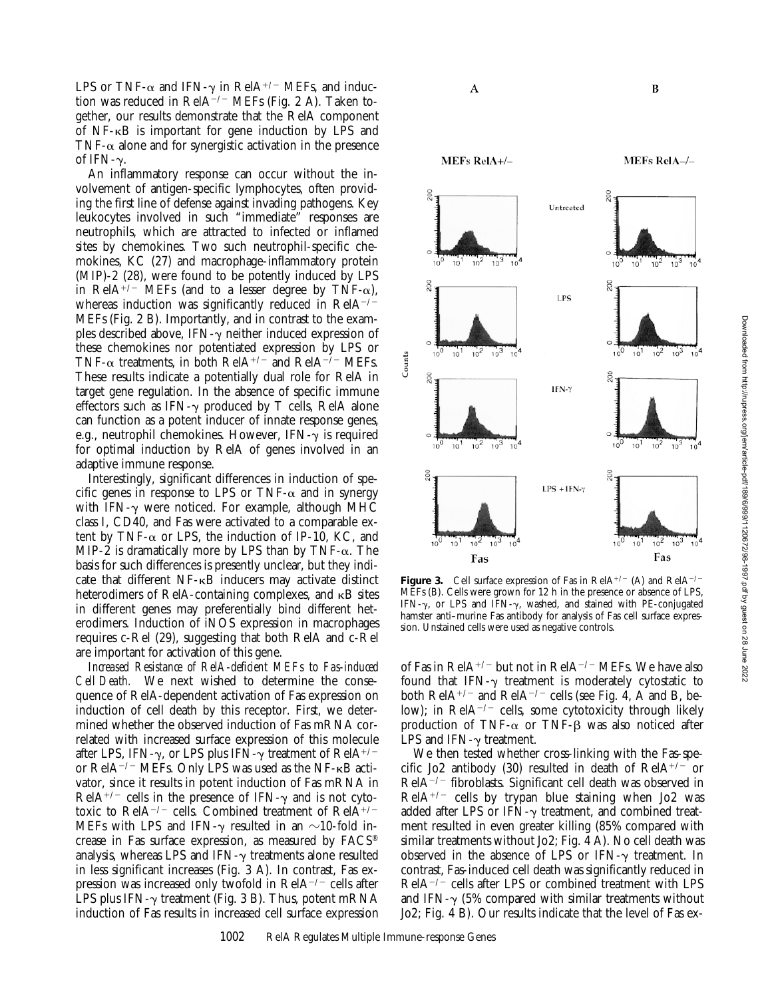LPS or TNF- $\alpha$  and IFN- $\gamma$  in RelA<sup>+/-</sup> MEFs, and induction was reduced in RelA $^{-/-}$  MEFs (Fig. 2 A). Taken together, our results demonstrate that the RelA component of  $NF-\kappa B$  is important for gene induction by LPS and TNF- $\alpha$  alone and for synergistic activation in the presence of IFN- $\gamma$ .

An inflammatory response can occur without the involvement of antigen-specific lymphocytes, often providing the first line of defense against invading pathogens. Key leukocytes involved in such "immediate" responses are neutrophils, which are attracted to infected or inflamed sites by chemokines. Two such neutrophil-specific chemokines, KC (27) and macrophage-inflammatory protein (MIP)-2 (28), were found to be potently induced by LPS in RelA<sup>+/-</sup> MEFs (and to a lesser degree by TNF- $\alpha$ ), whereas induction was significantly reduced in  $ReIA^{-/-}$ MEFs (Fig. 2 B). Importantly, and in contrast to the examples described above, IFN- $\gamma$  neither induced expression of these chemokines nor potentiated expression by LPS or TNF- $\alpha$  treatments, in both RelA<sup>+/-</sup> and RelA<sup>-/-</sup> MEFs. These results indicate a potentially dual role for RelA in target gene regulation. In the absence of specific immune effectors such as IFN- $\gamma$  produced by T cells, RelA alone can function as a potent inducer of innate response genes, e.g., neutrophil chemokines. However, IFN- $\gamma$  is required for optimal induction by RelA of genes involved in an adaptive immune response.

Interestingly, significant differences in induction of specific genes in response to LPS or TNF- $\alpha$  and in synergy with IFN- $\gamma$  were noticed. For example, although MHC class I, CD40, and Fas were activated to a comparable extent by TNF- $\alpha$  or LPS, the induction of IP-10, KC, and MIP-2 is dramatically more by LPS than by TNF- $\alpha$ . The basis for such differences is presently unclear, but they indicate that different NF-kB inducers may activate distinct heterodimers of RelA-containing complexes, and  $\kappa$ B sites in different genes may preferentially bind different heterodimers. Induction of iNOS expression in macrophages requires c-Rel (29), suggesting that both RelA and c-Rel are important for activation of this gene.

*Increased Resistance of RelA-deficient MEFs to Fas-induced Cell Death.* We next wished to determine the consequence of RelA-dependent activation of Fas expression on induction of cell death by this receptor. First, we determined whether the observed induction of Fas mRNA correlated with increased surface expression of this molecule after LPS, IFN- $\gamma$ , or LPS plus IFN- $\gamma$  treatment of RelA<sup>+/-</sup> or RelA<sup> $-/-$ </sup> MEFs. Only LPS was used as the NF- $\kappa$ B activator, since it results in potent induction of Fas mRNA in  $ReIA^{+/-}$  cells in the presence of IFN- $\gamma$  and is not cytotoxic to RelA<sup>-/-</sup> cells. Combined treatment of RelA<sup>+/-</sup> MEFs with LPS and IFN- $\gamma$  resulted in an  $\sim$ 10-fold increase in Fas surface expression, as measured by FACS® analysis, whereas LPS and IFN- $\gamma$  treatments alone resulted in less significant increases (Fig. 3 A). In contrast, Fas expression was increased only twofold in  $\text{RelA}^{-/-}$  cells after LPS plus IFN- $\gamma$  treatment (Fig. 3 B). Thus, potent mRNA induction of Fas results in increased cell surface expression A

MEFs RelA+/-

**MEFs RelA-/-**

B



**Figure 3.** Cell surface expression of Fas in RelA<sup>+/-</sup> (A) and RelA<sup>-/-</sup> MEFs (B). Cells were grown for 12 h in the presence or absence of LPS, IFN- $\gamma$ , or LPS and IFN- $\gamma$ , washed, and stained with PE-conjugated hamster anti–murine Fas antibody for analysis of Fas cell surface expression. Unstained cells were used as negative controls.

of Fas in RelA<sup>+/-</sup> but not in RelA<sup>-/-</sup> MEFs. We have also found that IFN- $\gamma$  treatment is moderately cytostatic to both  $\text{RelA}^{+/-}$  and  $\text{RelA}^{-/-}$  cells (see Fig. 4, A and B, below); in RelA<sup>-/-</sup> cells, some cytotoxicity through likely production of TNF- $\alpha$  or TNF- $\beta$  was also noticed after LPS and IFN- $\gamma$  treatment.

We then tested whether cross-linking with the Fas-specific Jo2 antibody (30) resulted in death of  $ReIA^{+/-}$  or  $ReIA^{-/-}$  fibroblasts. Significant cell death was observed in  $ReIA^{+/-}$  cells by trypan blue staining when Jo2 was added after LPS or IFN- $\gamma$  treatment, and combined treatment resulted in even greater killing (85% compared with similar treatments without Jo2; Fig. 4 A). No cell death was observed in the absence of LPS or IFN- $\gamma$  treatment. In contrast, Fas-induced cell death was significantly reduced in  $ReIA^{-/-}$  cells after LPS or combined treatment with LPS and IFN- $\gamma$  (5% compared with similar treatments without Jo2; Fig. 4 B). Our results indicate that the level of Fas ex-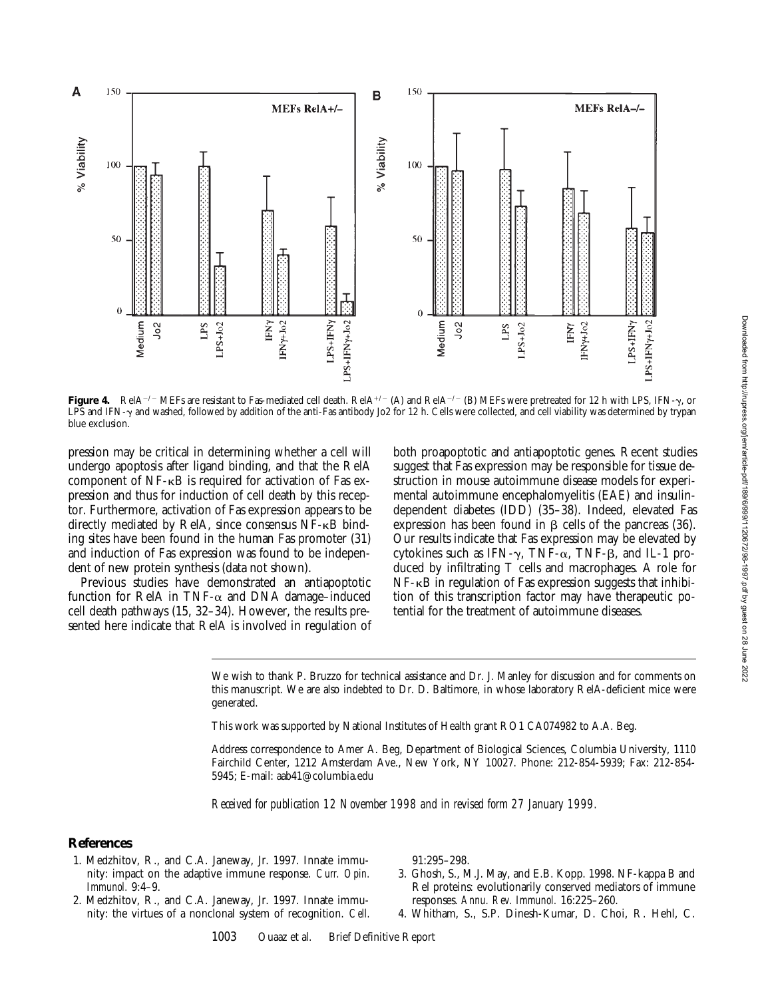

**Figure 4.** RelA<sup>-/-</sup> MEFs are resistant to Fas-mediated cell death. RelA<sup>+/-</sup> (A) and RelA<sup>-/-</sup> (B) MEFs were pretreated for 12 h with LPS, IFN-y, or LPS and IFN-y and washed, followed by addition of the anti-Fas antibody Jo2 for 12 h. Cells were collected, and cell viability was determined by trypan blue exclusion.

pression may be critical in determining whether a cell will undergo apoptosis after ligand binding, and that the RelA component of  $NF-\kappa B$  is required for activation of Fas expression and thus for induction of cell death by this receptor. Furthermore, activation of Fas expression appears to be directly mediated by RelA, since consensus NF-kB binding sites have been found in the human Fas promoter (31) and induction of Fas expression was found to be independent of new protein synthesis (data not shown).

Previous studies have demonstrated an antiapoptotic function for RelA in TNF- $\alpha$  and DNA damage-induced cell death pathways (15, 32–34). However, the results presented here indicate that RelA is involved in regulation of

both proapoptotic and antiapoptotic genes. Recent studies suggest that Fas expression may be responsible for tissue destruction in mouse autoimmune disease models for experimental autoimmune encephalomyelitis (EAE) and insulindependent diabetes (IDD) (35–38). Indeed, elevated Fas expression has been found in  $\beta$  cells of the pancreas (36). Our results indicate that Fas expression may be elevated by cytokines such as IFN- $\gamma$ , TNF- $\alpha$ , TNF- $\beta$ , and IL-1 produced by infiltrating T cells and macrophages. A role for NF-kB in regulation of Fas expression suggests that inhibition of this transcription factor may have therapeutic potential for the treatment of autoimmune diseases.

We wish to thank P. Bruzzo for technical assistance and Dr. J. Manley for discussion and for comments on this manuscript. We are also indebted to Dr. D. Baltimore, in whose laboratory RelA-deficient mice were generated.

This work was supported by National Institutes of Health grant RO1 CA074982 to A.A. Beg.

Address correspondence to Amer A. Beg, Department of Biological Sciences, Columbia University, 1110 Fairchild Center, 1212 Amsterdam Ave., New York, NY 10027. Phone: 212-854-5939; Fax: 212-854- 5945; E-mail: aab41@columbia.edu

*Received for publication 12 November 1998 and in revised form 27 January 1999.*

#### **References**

- 1. Medzhitov, R., and C.A. Janeway, Jr. 1997. Innate immunity: impact on the adaptive immune response. *Curr. Opin. Immunol.* 9:4–9.
- 2. Medzhitov, R., and C.A. Janeway, Jr. 1997. Innate immunity: the virtues of a nonclonal system of recognition. *Cell.*

91:295–298.

- 3. Ghosh, S., M.J. May, and E.B. Kopp. 1998. NF-kappa B and Rel proteins: evolutionarily conserved mediators of immune responses. *Annu. Rev. Immunol.* 16:225–260.
- 4. Whitham, S., S.P. Dinesh-Kumar, D. Choi, R. Hehl, C.